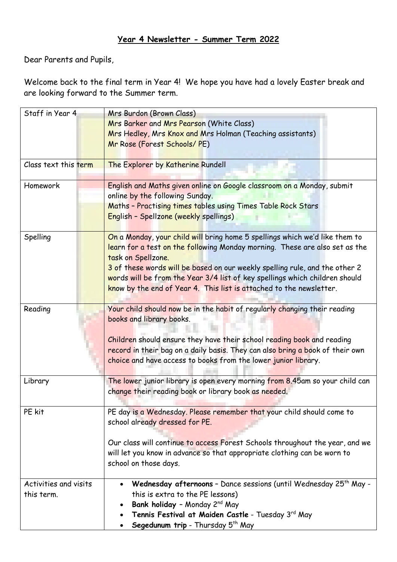### **Year 4 Newsletter - Summer Term 2022**

Dear Parents and Pupils,

Welcome back to the final term in Year 4! We hope you have had a lovely Easter break and are looking forward to the Summer term.

| Staff in Year 4       | Mrs Burdon (Brown Class)                                                      |  |  |
|-----------------------|-------------------------------------------------------------------------------|--|--|
|                       | Mrs Barker and Mrs Pearson (White Class)                                      |  |  |
|                       | Mrs Hedley, Mrs Knox and Mrs Holman (Teaching assistants)                     |  |  |
|                       | Mr Rose (Forest Schools/ PE)                                                  |  |  |
|                       |                                                                               |  |  |
| Class text this term  | The Explorer by Katherine Rundell                                             |  |  |
| Homework              | English and Maths given online on Google classroom on a Monday, submit        |  |  |
|                       | online by the following Sunday.                                               |  |  |
|                       | Maths - Practising times tables using Times Table Rock Stars                  |  |  |
|                       | English - Spellzone (weekly spellings)                                        |  |  |
| Spelling              | On a Monday, your child will bring home 5 spellings which we'd like them to   |  |  |
|                       | learn for a test on the following Monday morning. These are also set as the   |  |  |
|                       | task on Spellzone.                                                            |  |  |
|                       | 3 of these words will be based on our weekly spelling rule, and the other 2   |  |  |
|                       | words will be from the Year 3/4 list of key spellings which children should   |  |  |
|                       | know by the end of Year 4. This list is attached to the newsletter.           |  |  |
|                       |                                                                               |  |  |
| Reading               | Your child should now be in the habit of regularly changing their reading     |  |  |
|                       | books and library books.                                                      |  |  |
|                       |                                                                               |  |  |
|                       | Children should ensure they have their school reading book and reading        |  |  |
|                       | record in their bag on a daily basis. They can also bring a book of their own |  |  |
|                       | choice and have access to books from the lower junior library.                |  |  |
|                       |                                                                               |  |  |
| Library               | The lower junior library is open every morning from 8.45am so your child can  |  |  |
|                       | change their reading book or library book as needed.                          |  |  |
|                       |                                                                               |  |  |
| PE kit                | PE day is a Wednesday. Please remember that your child should come to         |  |  |
|                       | school already dressed for PE.                                                |  |  |
|                       |                                                                               |  |  |
|                       | Our class will continue to access Forest Schools throughout the year, and we  |  |  |
|                       | will let you know in advance so that appropriate clothing can be worn to      |  |  |
|                       | school on those days.                                                         |  |  |
| Activities and visits | Wednesday afternoons - Dance sessions (until Wednesday 25 <sup>th</sup> May - |  |  |
| this term.            | this is extra to the PE lessons)                                              |  |  |
|                       | Bank holiday - Monday 2 <sup>nd</sup> May                                     |  |  |
|                       | Tennis Festival at Maiden Castle - Tuesday 3rd May                            |  |  |
|                       | Segedunum trip - Thursday 5th May                                             |  |  |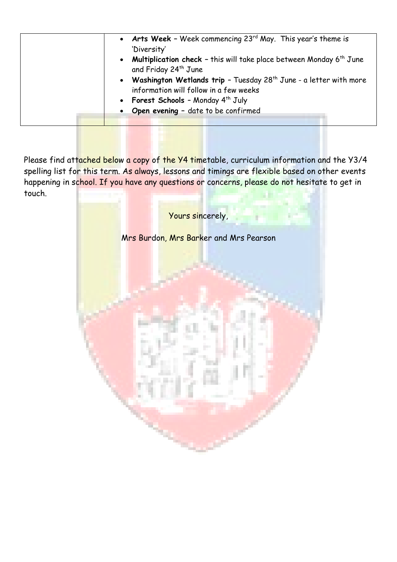| • Arts Week - Week commencing $23^{rd}$ May. This year's theme is<br>'Diversity'<br>• Multiplication check - this will take place between Monday $6th$ June<br>and Friday 24 <sup>th</sup> June<br>• Washington Wetlands trip - Tuesday 28 <sup>th</sup> June - a letter with more<br>information will follow in a few weeks<br>• Forest Schools - Monday $4th$ July<br>• Open evening - date to be confirmed |
|---------------------------------------------------------------------------------------------------------------------------------------------------------------------------------------------------------------------------------------------------------------------------------------------------------------------------------------------------------------------------------------------------------------|
|                                                                                                                                                                                                                                                                                                                                                                                                               |

Please find attached below a copy of the Y4 timetable, curriculum information and the Y3/4 spelling list for this term. As always, lessons and timings are flexible based on other events happening in school. If you have any questions or concerns, please do not hesitate to get in touch.

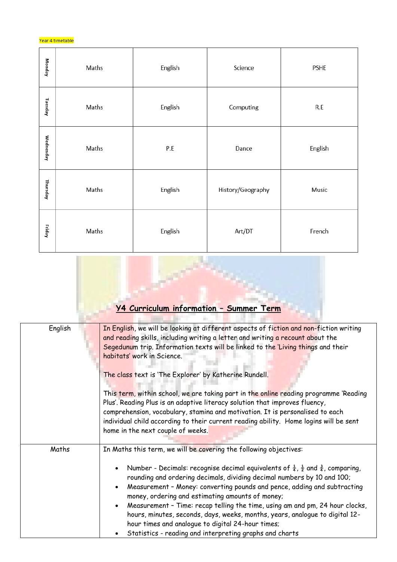#### Year 4 timetable

| Monday    | Maths | English | Science           | PSHE    |
|-----------|-------|---------|-------------------|---------|
| Tuesday   | Maths | English | Computing         | R.E     |
| Wednesday | Maths | P.E     | Dance             | English |
| Thursday  | Maths | English | History/Geography | Music   |
| Friday    | Maths | English | Art/DT            | French  |

# **Y4 Curriculum information – Summer Term**

ł,

| English | In English, we will be looking at different aspects of fiction and non-fiction writing<br>and reading skills, including writing a letter and writing a recount about the<br>Segedunum trip. Information texts will be linked to the Living things and their<br>habitats' work in Science.<br>The class text is 'The Explorer' by Katherine Rundell.<br>This term, within school, we are taking part in the online reading programme 'Reading<br>Plus'. Reading Plus is an adaptive literacy solution that improves fluency,<br>comprehension, vocabulary, stamina and motivation. It is personalised to each<br>individual child according to their current reading ability. Home logins will be sent<br>home in the next couple of weeks. |  |
|---------|--------------------------------------------------------------------------------------------------------------------------------------------------------------------------------------------------------------------------------------------------------------------------------------------------------------------------------------------------------------------------------------------------------------------------------------------------------------------------------------------------------------------------------------------------------------------------------------------------------------------------------------------------------------------------------------------------------------------------------------------|--|
| Maths   | In Maths this term, we will be covering the following objectives:<br>Number - Decimals: recognise decimal equivalents of $\frac{1}{4}$ , $\frac{1}{2}$ and $\frac{3}{4}$ , comparing,<br>$\bullet$<br>rounding and ordering decimals, dividing decimal numbers by 10 and 100;<br>Measurement - Money: converting pounds and pence, adding and subtracting<br>$\bullet$<br>money, ordering and estimating amounts of money;<br>Measurement - Time: recap telling the time, using am and pm, 24 hour clocks,<br>$\bullet$<br>hours, minutes, seconds, days, weeks, months, years, analogue to digital 12-<br>hour times and analogue to digital 24-hour times;<br>Statistics - reading and interpreting graphs and charts                    |  |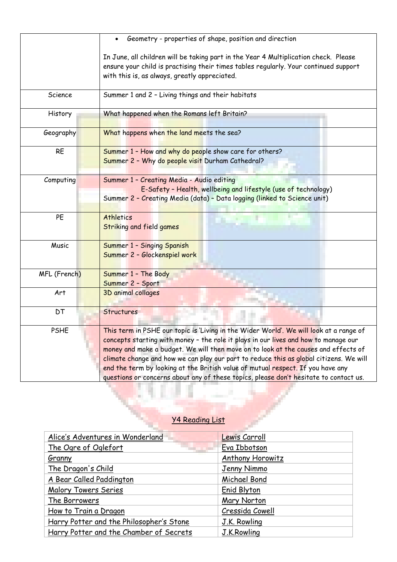|              | Geometry - properties of shape, position and direction                                                                                                                                                                                                                                                                                                                                                                                                                                                                                    |  |  |
|--------------|-------------------------------------------------------------------------------------------------------------------------------------------------------------------------------------------------------------------------------------------------------------------------------------------------------------------------------------------------------------------------------------------------------------------------------------------------------------------------------------------------------------------------------------------|--|--|
|              | In June, all children will be taking part in the Year 4 Multiplication check. Please<br>ensure your child is practising their times tables regularly. Your continued support                                                                                                                                                                                                                                                                                                                                                              |  |  |
|              | with this is, as always, greatly appreciated.                                                                                                                                                                                                                                                                                                                                                                                                                                                                                             |  |  |
| Science      | Summer 1 and 2 - Living things and their habitats                                                                                                                                                                                                                                                                                                                                                                                                                                                                                         |  |  |
| History      | What happened when the Romans left Britain?                                                                                                                                                                                                                                                                                                                                                                                                                                                                                               |  |  |
| Geography    | What happens when the land meets the sea?                                                                                                                                                                                                                                                                                                                                                                                                                                                                                                 |  |  |
| <b>RE</b>    | Summer 1 - How and why do people show care for others?<br>Summer 2 - Why do people visit Durham Cathedral?                                                                                                                                                                                                                                                                                                                                                                                                                                |  |  |
| Computing    | Summer 1 - Creating Media - Audio editing<br>E-Safety - Health, wellbeing and lifestyle (use of technology)<br>Summer 2 - Creating Media (data) - Data logging (linked to Science unit)                                                                                                                                                                                                                                                                                                                                                   |  |  |
| PE           | <b>Athletics</b><br><b>Striking and field games</b>                                                                                                                                                                                                                                                                                                                                                                                                                                                                                       |  |  |
| Music        | Summer 1 - Singing Spanish<br>Summer 2 - Glockenspiel work                                                                                                                                                                                                                                                                                                                                                                                                                                                                                |  |  |
| MFL (French) | Summer 1 - The Body<br>Summer 2 - Sport                                                                                                                                                                                                                                                                                                                                                                                                                                                                                                   |  |  |
| Art          | <b>3D animal collages</b>                                                                                                                                                                                                                                                                                                                                                                                                                                                                                                                 |  |  |
| <b>DT</b>    | <b>Structures</b>                                                                                                                                                                                                                                                                                                                                                                                                                                                                                                                         |  |  |
| <b>PSHE</b>  | This term in PSHE our topic is 'Living in the Wider World'. We will look at a range of<br>concepts starting with money - the role it plays in our lives and how to manage our<br>money and make a budget. We will then move on to look at the causes and effects of<br>climate change and how we can play our part to reduce this as global citizens. We will<br>end the term by looking at the British value of mutual respect. If you have any<br>questions or concerns about any of these topics, please don't hesitate to contact us. |  |  |

### Y4 Reading List

N,

V

ä

| Alice's Adventures in Wonderland         | Lewis Carroll    |
|------------------------------------------|------------------|
| The Ogre of Oglefort                     | Eva Ibbotson     |
| Granny                                   | Anthony Horowitz |
| The Dragon's Child                       | Jenny Nimmo      |
| A Bear Called Paddington                 | Michael Bond     |
| <b>Malory Towers Series</b>              | Enid Blyton      |
| The Borrowers                            | Mary Norton      |
| How to Train a Dragon                    | Cressida Cowell  |
| Harry Potter and the Philosopher's Stone | J.K. Rowling     |
| Harry Potter and the Chamber of Secrets  | J.K.Rowling      |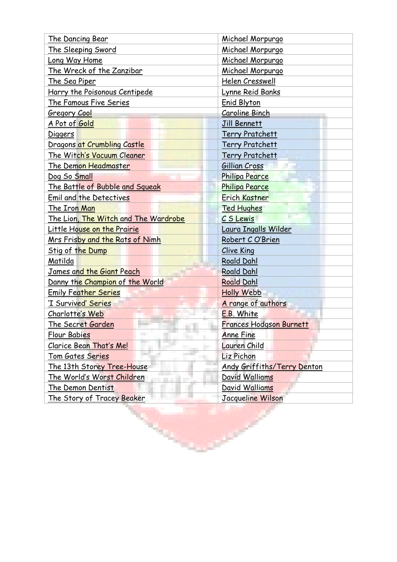| The Dancing Bear                       | Michael Morpurgo                   |  |
|----------------------------------------|------------------------------------|--|
| The Sleeping Sword                     | Michael Morpurgo                   |  |
| Long Way Home                          | Michael Morpurgo                   |  |
| The Wreck of the Zanzibar              | Michael Morpurgo                   |  |
| The Sea Piper                          | Helen Cresswell                    |  |
| Harry the Poisonous Centipede          | Lynne Reid Banks                   |  |
| The Famous Five Series                 | <b>Enid Blyton</b>                 |  |
| <b>Gregory Cool</b>                    | Caroline Binch                     |  |
| A Pot of Gold                          | Jill Bennett                       |  |
| <b>Diggers</b>                         | <b>Terry Pratchett</b>             |  |
| Dragons at Crumbling Castle            | <b>Terry Pratchett</b>             |  |
| The Witch's Vacuum Cleaner             | <b>Terry Pratchett</b>             |  |
| The Demon Headmaster                   | Gillian Cross                      |  |
| Dog So Small                           | <b>Philipa Pearce</b>              |  |
| The Battle of Bubble and Squeak        | <b>Philipa Pearce</b>              |  |
| <b>Emil and the Detectives</b>         | <b>Erich Kastner</b>               |  |
| The Iron Man                           | <b>Ted Hughes</b>                  |  |
| The Lion, The Witch and The Wardrobe   | C S Lewis                          |  |
| Little House on the Prairie            | Laura Ingalls Wilder               |  |
| <u>Mrs Frisby and the Rats of Nimh</u> | Robert C O'Brien                   |  |
| Stig of the Dump                       | <b>Clive King</b>                  |  |
| Matilda                                | <b>Roald Dahl</b>                  |  |
| James and the Giant Peach              | <b>Roald Dahl</b>                  |  |
| Danny the Champion of the World        | <b>Roald Dahl</b>                  |  |
| <b>Emily Feather Series</b>            | <b>Holly Webb</b>                  |  |
| 'I Survived' Series                    | A range of authors                 |  |
| Charlotte's Web                        | E.B. White                         |  |
| The Secret Garden                      | Frances Hodgson Burnett            |  |
| <b>Flour Babies</b>                    | <b>Anne Fine</b>                   |  |
| Clarice Bean That's Me!                | Lauren Child                       |  |
| Tom Gates Series                       | Liz Pichon                         |  |
| The 13th Storey Tree-House             | <b>Andy Griffiths/Terry Denton</b> |  |
| <u>The World's Worst Children</u>      | David Walliams                     |  |
| The Demon Dentist                      | David Walliams                     |  |
| The Story of Tracey Beaker             | Jacqueline Wilson                  |  |
| <b>RANCH AND</b>                       |                                    |  |